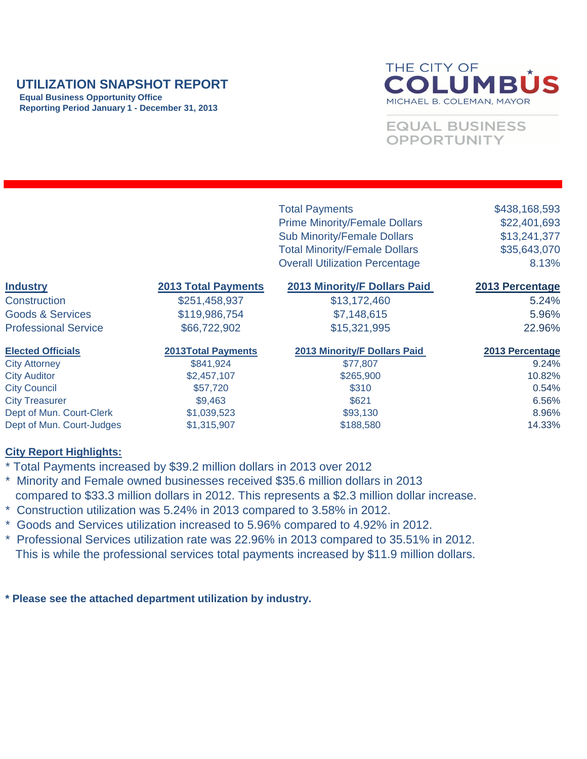### **UTILIZATION SNAPSHOT REPORT**

 **Equal Business Opportunity Office Reporting Period January 1 - December 31, 2013**

# THE CITY OF COLUMBÚS MICHAEL B. COLEMAN, MAYOR

## **EQUAL BUSINESS** OPPORTUNITY

| <b>2013 Minority/F Dollars Paid</b><br><b>Industry</b><br><b>2013 Total Payments</b><br><b>2013 Percentage</b><br>\$13,172,460<br><b>Construction</b><br>\$251,458,937<br>5.24%<br><b>Goods &amp; Services</b><br>\$119,986,754<br>\$7,148,615<br>5.96%<br><b>Professional Service</b><br>\$66,722,902<br>\$15,321,995<br>22.96%<br><b>Elected Officials</b><br><b>2013 Minority/F Dollars Paid</b><br><b>2013Total Payments</b><br><b>2013 Percentage</b><br><b>City Attorney</b><br>\$841,924<br>9.24%<br>\$77,807<br><b>City Auditor</b><br>10.82%<br>\$2,457,107<br>\$265,900<br><b>City Council</b><br>\$57,720<br>\$310<br>0.54%<br><b>City Treasurer</b><br>\$621<br>\$9,463<br>6.56%<br>Dept of Mun. Court-Clerk<br>\$1,039,523<br>\$93,130<br>8.96%<br>Dept of Mun. Court-Judges<br>14.33%<br>\$1,315,907<br>\$188,580 |  | <b>Total Payments</b><br><b>Prime Minority/Female Dollars</b><br><b>Sub Minority/Female Dollars</b><br><b>Total Minority/Female Dollars</b><br><b>Overall Utilization Percentage</b> | \$438,168,593<br>\$22,401,693<br>\$13,241,377<br>\$35,643,070<br>8.13% |
|---------------------------------------------------------------------------------------------------------------------------------------------------------------------------------------------------------------------------------------------------------------------------------------------------------------------------------------------------------------------------------------------------------------------------------------------------------------------------------------------------------------------------------------------------------------------------------------------------------------------------------------------------------------------------------------------------------------------------------------------------------------------------------------------------------------------------------|--|--------------------------------------------------------------------------------------------------------------------------------------------------------------------------------------|------------------------------------------------------------------------|
|                                                                                                                                                                                                                                                                                                                                                                                                                                                                                                                                                                                                                                                                                                                                                                                                                                 |  |                                                                                                                                                                                      |                                                                        |
|                                                                                                                                                                                                                                                                                                                                                                                                                                                                                                                                                                                                                                                                                                                                                                                                                                 |  |                                                                                                                                                                                      |                                                                        |
|                                                                                                                                                                                                                                                                                                                                                                                                                                                                                                                                                                                                                                                                                                                                                                                                                                 |  |                                                                                                                                                                                      |                                                                        |
|                                                                                                                                                                                                                                                                                                                                                                                                                                                                                                                                                                                                                                                                                                                                                                                                                                 |  |                                                                                                                                                                                      |                                                                        |
|                                                                                                                                                                                                                                                                                                                                                                                                                                                                                                                                                                                                                                                                                                                                                                                                                                 |  |                                                                                                                                                                                      |                                                                        |
|                                                                                                                                                                                                                                                                                                                                                                                                                                                                                                                                                                                                                                                                                                                                                                                                                                 |  |                                                                                                                                                                                      |                                                                        |
|                                                                                                                                                                                                                                                                                                                                                                                                                                                                                                                                                                                                                                                                                                                                                                                                                                 |  |                                                                                                                                                                                      |                                                                        |
|                                                                                                                                                                                                                                                                                                                                                                                                                                                                                                                                                                                                                                                                                                                                                                                                                                 |  |                                                                                                                                                                                      |                                                                        |
|                                                                                                                                                                                                                                                                                                                                                                                                                                                                                                                                                                                                                                                                                                                                                                                                                                 |  |                                                                                                                                                                                      |                                                                        |
|                                                                                                                                                                                                                                                                                                                                                                                                                                                                                                                                                                                                                                                                                                                                                                                                                                 |  |                                                                                                                                                                                      |                                                                        |
|                                                                                                                                                                                                                                                                                                                                                                                                                                                                                                                                                                                                                                                                                                                                                                                                                                 |  |                                                                                                                                                                                      |                                                                        |

#### **City Report Highlights:**

- \* Total Payments increased by \$39.2 million dollars in 2013 over 2012
- \* Minority and Female owned businesses received \$35.6 million dollars in 2013 compared to \$33.3 million dollars in 2012. This represents a \$2.3 million dollar increase.
- \* Construction utilization was 5.24% in 2013 compared to 3.58% in 2012.
- \* Goods and Services utilization increased to 5.96% compared to 4.92% in 2012.
- \* Professional Services utilization rate was 22.96% in 2013 compared to 35.51% in 2012. This is while the professional services total payments increased by \$11.9 million dollars.

**\* Please see the attached department utilization by industry.**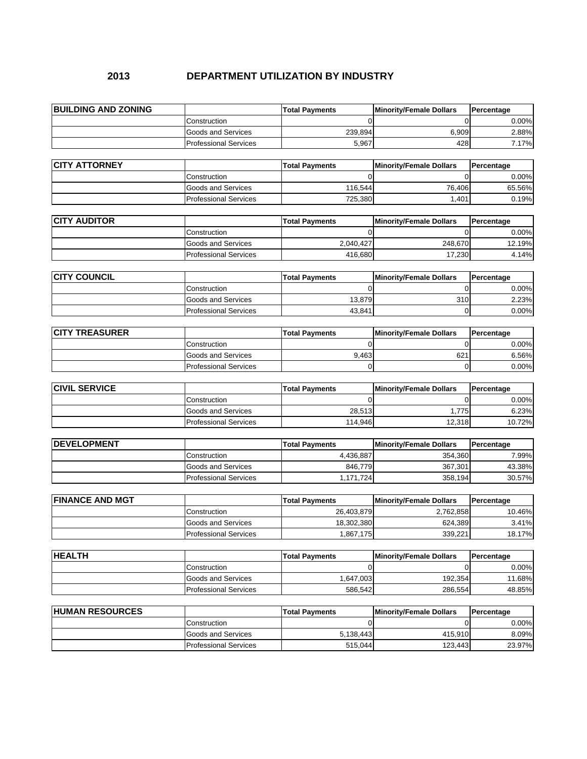#### **2013 DEPARTMENT UTILIZATION BY INDUSTRY**

| <b>BUILDING AND ZONING</b> |                                                           | <b>Total Payments</b>               | <b>Minority/Female Dollars</b> | <b>Percentage</b>    |
|----------------------------|-----------------------------------------------------------|-------------------------------------|--------------------------------|----------------------|
|                            | Construction                                              |                                     |                                | 0.00%                |
|                            | <b>Goods and Services</b>                                 | 239,894                             | 6,909                          | 2.88%                |
|                            | <b>Professional Services</b>                              | 5,967                               | 428                            | 7.17%                |
|                            |                                                           |                                     |                                |                      |
| <b>CITY ATTORNEY</b>       |                                                           | <b>Total Payments</b>               | <b>Minority/Female Dollars</b> | Percentage           |
|                            | Construction                                              |                                     | 0                              | 0.00%                |
|                            | <b>Goods and Services</b>                                 | 116,544                             | 76,406                         | 65.56%               |
|                            | <b>Professional Services</b>                              | 725,380                             | 1,401                          | 0.19%                |
|                            |                                                           |                                     |                                |                      |
| <b>CITY AUDITOR</b>        |                                                           | <b>Total Payments</b>               | <b>Minority/Female Dollars</b> | Percentage           |
|                            | Construction                                              |                                     | 0                              | 0.00%                |
|                            | <b>Goods and Services</b>                                 | 2,040,427                           | 248,670                        | 12.19%               |
|                            | <b>Professional Services</b>                              | 416,680                             | 17,230                         | 4.14%                |
| <b>CITY COUNCIL</b>        |                                                           |                                     |                                |                      |
|                            |                                                           | <b>Total Payments</b>               | <b>Minority/Female Dollars</b> | Percentage           |
|                            | Construction                                              | 0                                   | 0                              | 0.00%                |
|                            | <b>Goods and Services</b><br><b>Professional Services</b> | 13,879                              | 310                            | 2.23%                |
|                            |                                                           | 43,841                              | 0                              | 0.00%                |
| <b>CITY TREASURER</b>      |                                                           | <b>Total Payments</b>               | <b>Minority/Female Dollars</b> | Percentage           |
|                            | Construction                                              |                                     | ∩                              | 0.00%                |
|                            | <b>Goods and Services</b>                                 | 9,463                               | 621                            | 6.56%                |
|                            | <b>Professional Services</b>                              | $\Omega$                            | $\Omega$                       | 0.00%                |
|                            |                                                           |                                     |                                |                      |
| <b>CIVIL SERVICE</b>       |                                                           | <b>Total Payments</b>               | <b>Minority/Female Dollars</b> | Percentage           |
|                            | Construction                                              | 0                                   | 0                              | 0.00%                |
|                            | <b>Goods and Services</b>                                 | 28,513                              | 1,775                          | 6.23%                |
|                            | <b>Professional Services</b>                              | 114,946                             | 12,318                         | 10.72%               |
|                            |                                                           |                                     |                                |                      |
| DEVELOPMENT                |                                                           | <b>Total Payments</b>               | <b>Minority/Female Dollars</b> | <b>Percentage</b>    |
|                            | Construction                                              | 4,436,887                           | 354,360                        | 7.99%                |
|                            | <b>Goods and Services</b>                                 | 846,779                             | 367,301                        | 43.38%               |
|                            | <b>Professional Services</b>                              | 1,171,724                           | 358,194                        | 30.57%               |
| <b>FINANCE AND MGT</b>     |                                                           |                                     |                                |                      |
|                            | Construction                                              | <b>Total Payments</b><br>26,403,879 | <b>Minority/Female Dollars</b> | Percentage<br>10.46% |
|                            | <b>Goods and Services</b>                                 | 18,302,380                          | 2,762,858<br>624,389           | 3.41%                |
|                            | <b>Professional Services</b>                              | 1,867,175                           | 339,221                        | 18.17%               |
|                            |                                                           |                                     |                                |                      |
|                            |                                                           |                                     |                                |                      |
|                            |                                                           |                                     |                                |                      |
|                            |                                                           | <b>Total Payments</b>               | <b>Minority/Female Dollars</b> | Percentage           |
|                            | Construction                                              | 0                                   | 0                              | 0.00%                |
| <b>HEALTH</b>              | <b>Goods and Services</b>                                 | 1,647,003                           | 192,354                        | 11.68%               |
|                            | <b>Professional Services</b>                              | 586,542                             | 286,554                        | 48.85%               |
|                            |                                                           | <b>Total Payments</b>               | <b>Minority/Female Dollars</b> | Percentage           |
| <b>HUMAN RESOURCES</b>     | Construction                                              | 0                                   | 0                              | 0.00%                |
|                            | <b>Goods and Services</b>                                 | 5,138,443                           | 415,910                        | 8.09%                |
|                            | <b>Professional Services</b>                              | 515,044                             | 123,443                        | 23.97%               |